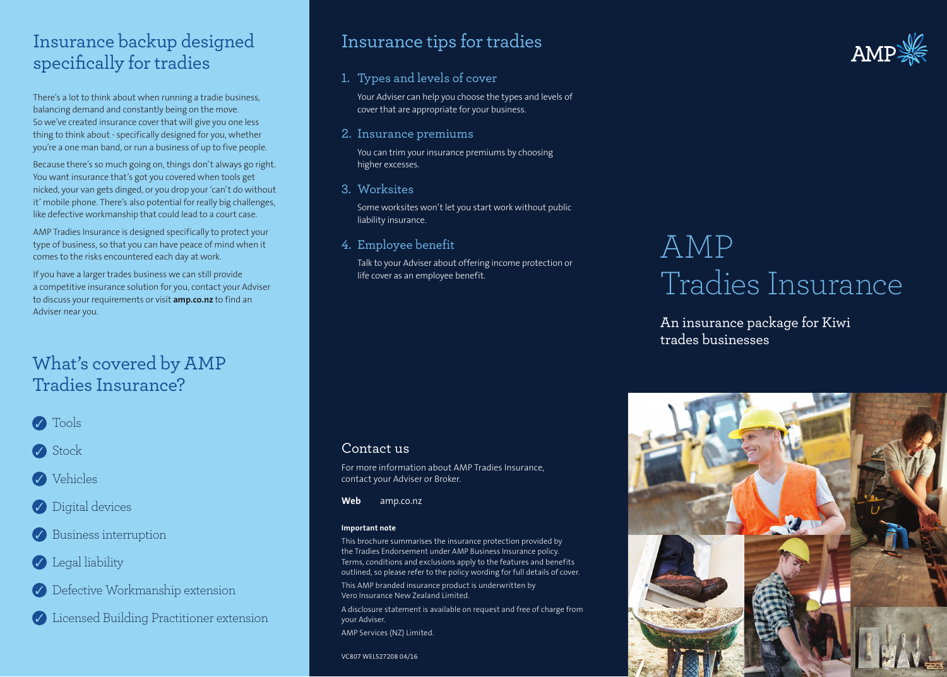## Insurance backup designed specifically for tradies

There's a lot to think about when running a tradie business, balancing demand and constantly being on the move. So we've created insurance cover that will give you one less thing to think about - specifically designed for you, whether you're a one man band, or run a business of up to five people.

Because there's so much going on, things don't always go right. You want insurance that's got you covered when tools get nicked, your van gets dinged, or you drop your 'can't do without it' mobile phone. There's also potential for really big challenges, like defective workmanship that could lead to a court case.

AMP Tradies Insurance is designed specifically to protect your type of business, so that you can have peace of mind when it comes to the risks encountered each day at work.

If you have a larger trades business we can still provide a competitive insurance solution for you, contact your Adviser to discuss your requirements or visit **amp.co.nz** to find an Adviser near you.

## What's covered by AMP Tradies Insurance?



Stock

- **Vehicles**
- **Digital devices**
- Business interruption
- **C** Legal liability
- Defective Workmanship extension
- Licensed Building Practitioner extension

## Insurance tips for tradies

#### 1. Types and levels of cover

Your Adviser can help you choose the types and levels of cover that are appropriate for your business.

2. Insurance premiums

You can trim your insurance premiums by choosing higher excesses.

3. Worksites

Some worksites won't let you start work without public liability insurance.

4. Employee benefit

Talk to your Adviser about offering income protection or life cover as an employee benefit.

# AMP Tradies Insurance

An insurance package for Kiwi trades businesses



For more information about AMP Tradies Insurance, contact your Adviser or Broker.

**Web** amp.co.nz

#### **Important note**

This brochure summarises the insurance protection provided by the Tradies Endorsement under AMP Business Insurance policy. Terms, conditions and exclusions apply to the features and benefits outlined, so please refer to the policy wording for full details of cover. This AMP branded insurance product is underwritten by Vero Insurance New Zealand Limited.

A disclosure statement is available on request and free of charge from your Adviser. AMP Services (NZ) Limited.

VC807 WEL527208 04/16